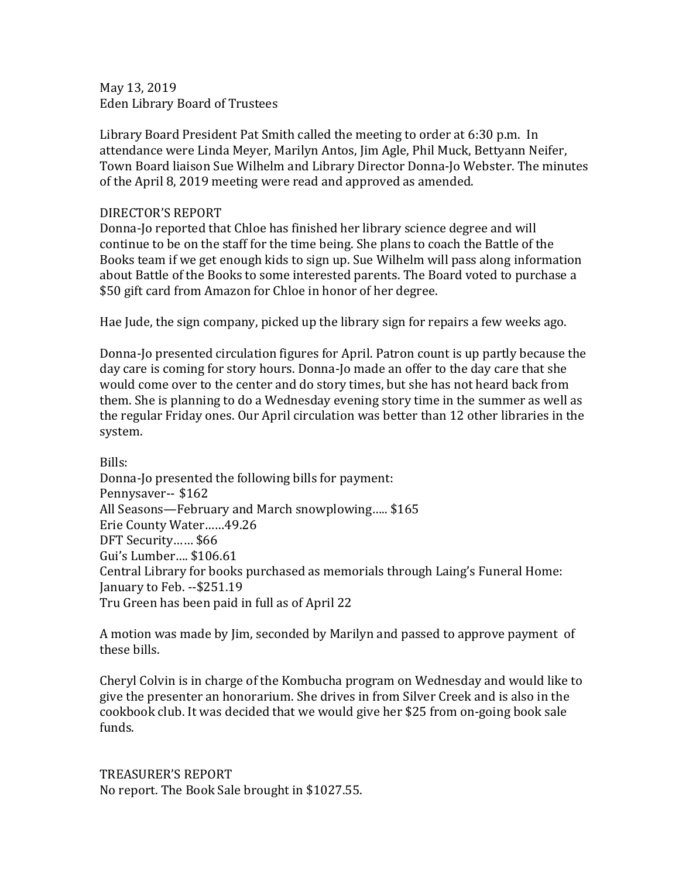May 13, 2019 Eden Library Board of Trustees

Library Board President Pat Smith called the meeting to order at 6:30 p.m. In attendance were Linda Meyer, Marilyn Antos, Jim Agle, Phil Muck, Bettyann Neifer, Town Board liaison Sue Wilhelm and Library Director Donna-Jo Webster. The minutes of the April 8, 2019 meeting were read and approved as amended.

## DIRECTOR'S REPORT

Donna-Jo reported that Chloe has finished her library science degree and will continue to be on the staff for the time being. She plans to coach the Battle of the Books team if we get enough kids to sign up. Sue Wilhelm will pass along information about Battle of the Books to some interested parents. The Board voted to purchase a \$50 gift card from Amazon for Chloe in honor of her degree.

Hae Jude, the sign company, picked up the library sign for repairs a few weeks ago.

Donna-Jo presented circulation figures for April. Patron count is up partly because the day care is coming for story hours. Donna-Jo made an offer to the day care that she would come over to the center and do story times, but she has not heard back from them. She is planning to do a Wednesday evening story time in the summer as well as the regular Friday ones. Our April circulation was better than 12 other libraries in the system.

Bills:

Donna-Jo presented the following bills for payment: Pennysaver-- \$162 All Seasons—February and March snowplowing….. \$165 Erie County Water……49.26 DFT Security…… \$66 Gui's Lumber…. \$106.61 Central Library for books purchased as memorials through Laing's Funeral Home: January to Feb. --\$251.19 Tru Green has been paid in full as of April 22

A motion was made by Jim, seconded by Marilyn and passed to approve payment of these bills.

Cheryl Colvin is in charge of the Kombucha program on Wednesday and would like to give the presenter an honorarium. She drives in from Silver Creek and is also in the cookbook club. It was decided that we would give her \$25 from on-going book sale funds.

TREASURER'S REPORT No report. The Book Sale brought in \$1027.55.